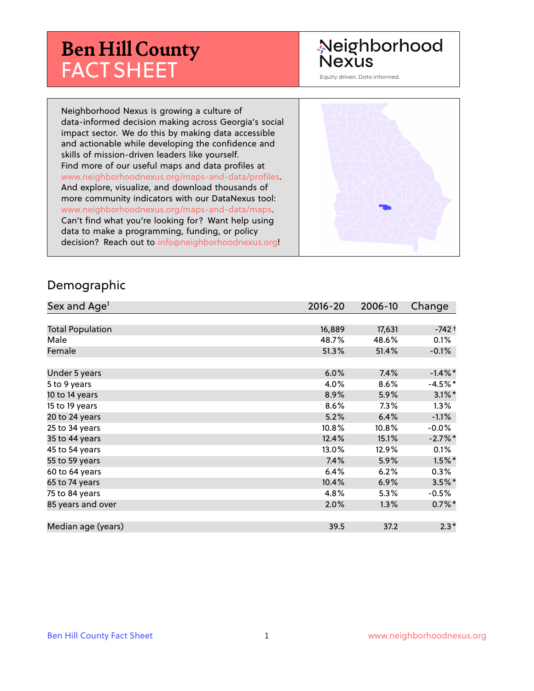# **Ben Hill County** FACT SHEET

# Neighborhood **Nexus**

Equity driven. Data informed.

Neighborhood Nexus is growing a culture of data-informed decision making across Georgia's social impact sector. We do this by making data accessible and actionable while developing the confidence and skills of mission-driven leaders like yourself. Find more of our useful maps and data profiles at www.neighborhoodnexus.org/maps-and-data/profiles. And explore, visualize, and download thousands of more community indicators with our DataNexus tool: www.neighborhoodnexus.org/maps-and-data/maps. Can't find what you're looking for? Want help using data to make a programming, funding, or policy decision? Reach out to [info@neighborhoodnexus.org!](mailto:info@neighborhoodnexus.org)



#### Demographic

| Sex and Age <sup>1</sup> | $2016 - 20$ | 2006-10 | Change     |
|--------------------------|-------------|---------|------------|
|                          |             |         |            |
| <b>Total Population</b>  | 16,889      | 17,631  | $-742+$    |
| Male                     | 48.7%       | 48.6%   | 0.1%       |
| Female                   | 51.3%       | 51.4%   | $-0.1\%$   |
|                          |             |         |            |
| Under 5 years            | 6.0%        | 7.4%    | $-1.4\%$ * |
| 5 to 9 years             | 4.0%        | 8.6%    | $-4.5%$ *  |
| 10 to 14 years           | 8.9%        | 5.9%    | $3.1\%$ *  |
| 15 to 19 years           | 8.6%        | 7.3%    | $1.3\%$    |
| 20 to 24 years           | 5.2%        | 6.4%    | $-1.1%$    |
| 25 to 34 years           | 10.8%       | 10.8%   | $-0.0\%$   |
| 35 to 44 years           | 12.4%       | 15.1%   | $-2.7%$ *  |
| 45 to 54 years           | 13.0%       | 12.9%   | 0.1%       |
| 55 to 59 years           | 7.4%        | 5.9%    | $1.5\%$ *  |
| 60 to 64 years           | 6.4%        | 6.2%    | $0.3\%$    |
| 65 to 74 years           | 10.4%       | 6.9%    | $3.5\%$ *  |
| 75 to 84 years           | 4.8%        | 5.3%    | $-0.5\%$   |
| 85 years and over        | 2.0%        | 1.3%    | $0.7\%$ *  |
|                          |             |         |            |
| Median age (years)       | 39.5        | 37.2    | $2.3*$     |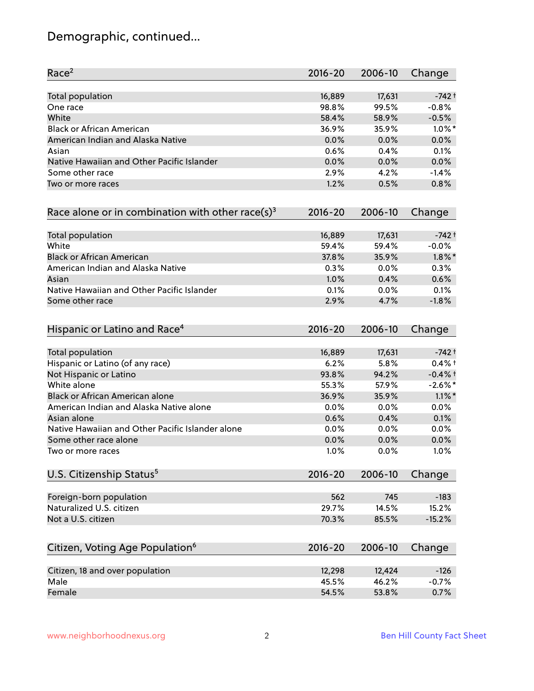# Demographic, continued...

| Race <sup>2</sup>                                            | 2016-20     | 2006-10 | Change     |
|--------------------------------------------------------------|-------------|---------|------------|
| <b>Total population</b>                                      | 16,889      | 17,631  | $-742+$    |
| One race                                                     | 98.8%       | 99.5%   | $-0.8%$    |
| White                                                        | 58.4%       | 58.9%   | $-0.5%$    |
| <b>Black or African American</b>                             | 36.9%       | 35.9%   | $1.0\%$ *  |
| American Indian and Alaska Native                            | 0.0%        | 0.0%    | 0.0%       |
| Asian                                                        | 0.6%        | 0.4%    | 0.1%       |
| Native Hawaiian and Other Pacific Islander                   | 0.0%        | 0.0%    | 0.0%       |
| Some other race                                              | 2.9%        | 4.2%    | $-1.4%$    |
| Two or more races                                            | 1.2%        | 0.5%    | 0.8%       |
| Race alone or in combination with other race(s) <sup>3</sup> | $2016 - 20$ | 2006-10 | Change     |
| Total population                                             | 16,889      | 17,631  | $-742+$    |
| White                                                        | 59.4%       | 59.4%   | $-0.0%$    |
| <b>Black or African American</b>                             | 37.8%       | 35.9%   | $1.8\%$ *  |
| American Indian and Alaska Native                            | 0.3%        | 0.0%    | 0.3%       |
| Asian                                                        | 1.0%        | 0.4%    | 0.6%       |
| Native Hawaiian and Other Pacific Islander                   | 0.1%        | 0.0%    | 0.1%       |
| Some other race                                              | 2.9%        | 4.7%    | $-1.8%$    |
| Hispanic or Latino and Race <sup>4</sup>                     | $2016 - 20$ | 2006-10 | Change     |
| Total population                                             | 16,889      | 17,631  | $-742+$    |
| Hispanic or Latino (of any race)                             | 6.2%        | 5.8%    | $0.4%$ +   |
| Not Hispanic or Latino                                       | 93.8%       | 94.2%   | $-0.4%$ t  |
| White alone                                                  | 55.3%       | 57.9%   | $-2.6\%$ * |
| Black or African American alone                              | 36.9%       | 35.9%   | $1.1\%$ *  |
| American Indian and Alaska Native alone                      | 0.0%        | 0.0%    | 0.0%       |
| Asian alone                                                  | 0.6%        | 0.4%    | 0.1%       |
| Native Hawaiian and Other Pacific Islander alone             | 0.0%        | 0.0%    | 0.0%       |
| Some other race alone                                        | 0.0%        | 0.0%    | 0.0%       |
| Two or more races                                            | 1.0%        | 0.0%    | 1.0%       |
| U.S. Citizenship Status <sup>5</sup>                         | $2016 - 20$ | 2006-10 | Change     |
| Foreign-born population                                      | 562         | 745     | $-183$     |
| Naturalized U.S. citizen                                     | 29.7%       | 14.5%   | 15.2%      |
| Not a U.S. citizen                                           | 70.3%       | 85.5%   | $-15.2%$   |
|                                                              |             |         |            |
| Citizen, Voting Age Population <sup>6</sup>                  | $2016 - 20$ | 2006-10 | Change     |
| Citizen, 18 and over population                              | 12,298      | 12,424  | $-126$     |
| Male                                                         | 45.5%       | 46.2%   | $-0.7%$    |
| Female                                                       | 54.5%       | 53.8%   | 0.7%       |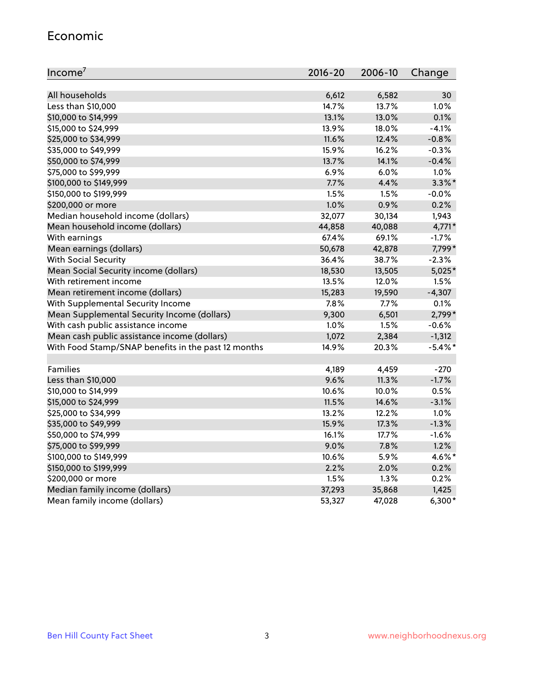#### Economic

| Income <sup>7</sup>                                 | $2016 - 20$ | 2006-10 | Change     |
|-----------------------------------------------------|-------------|---------|------------|
|                                                     |             |         |            |
| All households                                      | 6,612       | 6,582   | 30         |
| Less than \$10,000                                  | 14.7%       | 13.7%   | 1.0%       |
| \$10,000 to \$14,999                                | 13.1%       | 13.0%   | 0.1%       |
| \$15,000 to \$24,999                                | 13.9%       | 18.0%   | $-4.1%$    |
| \$25,000 to \$34,999                                | 11.6%       | 12.4%   | $-0.8%$    |
| \$35,000 to \$49,999                                | 15.9%       | 16.2%   | $-0.3%$    |
| \$50,000 to \$74,999                                | 13.7%       | 14.1%   | $-0.4%$    |
| \$75,000 to \$99,999                                | 6.9%        | 6.0%    | 1.0%       |
| \$100,000 to \$149,999                              | 7.7%        | 4.4%    | $3.3\%$ *  |
| \$150,000 to \$199,999                              | 1.5%        | 1.5%    | $-0.0%$    |
| \$200,000 or more                                   | 1.0%        | 0.9%    | 0.2%       |
| Median household income (dollars)                   | 32,077      | 30,134  | 1,943      |
| Mean household income (dollars)                     | 44,858      | 40,088  | $4,771*$   |
| With earnings                                       | 67.4%       | 69.1%   | $-1.7%$    |
| Mean earnings (dollars)                             | 50,678      | 42,878  | 7,799*     |
| <b>With Social Security</b>                         | 36.4%       | 38.7%   | $-2.3%$    |
| Mean Social Security income (dollars)               | 18,530      | 13,505  | $5,025*$   |
| With retirement income                              | 13.5%       | 12.0%   | 1.5%       |
| Mean retirement income (dollars)                    | 15,283      | 19,590  | $-4,307$   |
| With Supplemental Security Income                   | $7.8\%$     | $7.7\%$ | 0.1%       |
| Mean Supplemental Security Income (dollars)         | 9,300       | 6,501   | 2,799*     |
| With cash public assistance income                  | 1.0%        | 1.5%    | $-0.6%$    |
| Mean cash public assistance income (dollars)        | 1,072       | 2,384   | $-1,312$   |
| With Food Stamp/SNAP benefits in the past 12 months | 14.9%       | 20.3%   | $-5.4\%$ * |
|                                                     |             |         |            |
| Families                                            | 4,189       | 4,459   | $-270$     |
| Less than \$10,000                                  | 9.6%        | 11.3%   | $-1.7%$    |
| \$10,000 to \$14,999                                | 10.6%       | 10.0%   | 0.5%       |
| \$15,000 to \$24,999                                | 11.5%       | 14.6%   | $-3.1%$    |
| \$25,000 to \$34,999                                | 13.2%       | 12.2%   | 1.0%       |
| \$35,000 to \$49,999                                | 15.9%       | 17.3%   | $-1.3%$    |
| \$50,000 to \$74,999                                | 16.1%       | 17.7%   | $-1.6%$    |
| \$75,000 to \$99,999                                | 9.0%        | 7.8%    | 1.2%       |
| \$100,000 to \$149,999                              | 10.6%       | 5.9%    | 4.6%*      |
| \$150,000 to \$199,999                              | 2.2%        | 2.0%    | 0.2%       |
| \$200,000 or more                                   | 1.5%        | 1.3%    | 0.2%       |
| Median family income (dollars)                      | 37,293      | 35,868  | 1,425      |
| Mean family income (dollars)                        | 53,327      | 47,028  | $6,300*$   |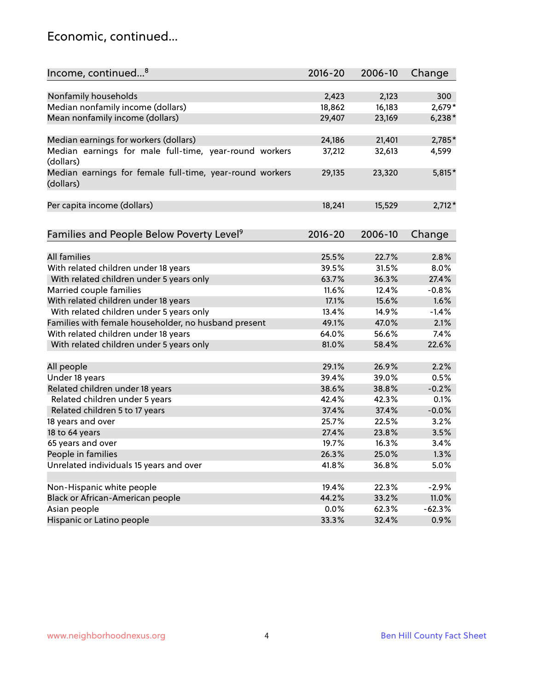### Economic, continued...

| Income, continued <sup>8</sup>                                        | $2016 - 20$ | 2006-10 | Change   |
|-----------------------------------------------------------------------|-------------|---------|----------|
|                                                                       |             |         |          |
| Nonfamily households                                                  | 2,423       | 2,123   | 300      |
| Median nonfamily income (dollars)                                     | 18,862      | 16,183  | $2,679*$ |
| Mean nonfamily income (dollars)                                       | 29,407      | 23,169  | $6,238*$ |
| Median earnings for workers (dollars)                                 | 24,186      | 21,401  | 2,785*   |
| Median earnings for male full-time, year-round workers                | 37,212      | 32,613  | 4,599    |
| (dollars)                                                             |             |         |          |
| Median earnings for female full-time, year-round workers<br>(dollars) | 29,135      | 23,320  | $5,815*$ |
| Per capita income (dollars)                                           | 18,241      | 15,529  | $2,712*$ |
|                                                                       |             |         |          |
| Families and People Below Poverty Level <sup>9</sup>                  | 2016-20     | 2006-10 | Change   |
|                                                                       |             |         |          |
| <b>All families</b>                                                   | 25.5%       | 22.7%   | 2.8%     |
| With related children under 18 years                                  | 39.5%       | 31.5%   | 8.0%     |
| With related children under 5 years only                              | 63.7%       | 36.3%   | 27.4%    |
| Married couple families                                               | 11.6%       | 12.4%   | $-0.8%$  |
| With related children under 18 years                                  | 17.1%       | 15.6%   | 1.6%     |
| With related children under 5 years only                              | 13.4%       | 14.9%   | $-1.4%$  |
| Families with female householder, no husband present                  | 49.1%       | 47.0%   | 2.1%     |
| With related children under 18 years                                  | 64.0%       | 56.6%   | 7.4%     |
| With related children under 5 years only                              | 81.0%       | 58.4%   | 22.6%    |
| All people                                                            | 29.1%       | 26.9%   | 2.2%     |
| Under 18 years                                                        | 39.4%       | 39.0%   | 0.5%     |
| Related children under 18 years                                       | 38.6%       | 38.8%   | $-0.2%$  |
| Related children under 5 years                                        | 42.4%       | 42.3%   | 0.1%     |
| Related children 5 to 17 years                                        | 37.4%       | 37.4%   | $-0.0%$  |
| 18 years and over                                                     | 25.7%       | 22.5%   | 3.2%     |
| 18 to 64 years                                                        | 27.4%       | 23.8%   | 3.5%     |
| 65 years and over                                                     | 19.7%       | 16.3%   | 3.4%     |
| People in families                                                    | 26.3%       | 25.0%   | 1.3%     |
| Unrelated individuals 15 years and over                               | 41.8%       | 36.8%   | 5.0%     |
|                                                                       |             |         |          |
| Non-Hispanic white people                                             | 19.4%       | 22.3%   | $-2.9%$  |
| Black or African-American people                                      | 44.2%       | 33.2%   | 11.0%    |
| Asian people                                                          | 0.0%        | 62.3%   | $-62.3%$ |
| Hispanic or Latino people                                             | 33.3%       | 32.4%   | 0.9%     |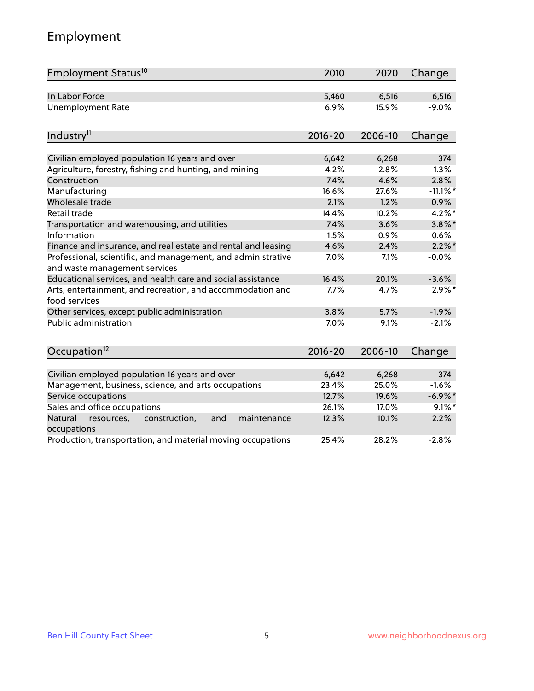# Employment

| Employment Status <sup>10</sup>                                                               | 2010        | 2020    | Change      |
|-----------------------------------------------------------------------------------------------|-------------|---------|-------------|
| In Labor Force                                                                                | 5,460       | 6,516   | 6,516       |
| <b>Unemployment Rate</b>                                                                      | 6.9%        | 15.9%   | $-9.0%$     |
| Industry <sup>11</sup>                                                                        | $2016 - 20$ | 2006-10 | Change      |
|                                                                                               |             |         |             |
| Civilian employed population 16 years and over                                                | 6,642       | 6,268   | 374         |
| Agriculture, forestry, fishing and hunting, and mining                                        | 4.2%        | 2.8%    | 1.3%        |
| Construction                                                                                  | 7.4%        | 4.6%    | 2.8%        |
| Manufacturing                                                                                 | 16.6%       | 27.6%   | $-11.1\%$ * |
| Wholesale trade                                                                               | 2.1%        | 1.2%    | 0.9%        |
| Retail trade                                                                                  | 14.4%       | 10.2%   | $4.2\%$ *   |
| Transportation and warehousing, and utilities                                                 | 7.4%        | 3.6%    | $3.8\%$ *   |
| Information                                                                                   | 1.5%        | 0.9%    | 0.6%        |
| Finance and insurance, and real estate and rental and leasing                                 | 4.6%        | 2.4%    | $2.2\%$ *   |
| Professional, scientific, and management, and administrative<br>and waste management services | 7.0%        | 7.1%    | $-0.0%$     |
| Educational services, and health care and social assistance                                   | 16.4%       | 20.1%   | $-3.6%$     |
| Arts, entertainment, and recreation, and accommodation and<br>food services                   | 7.7%        | 4.7%    | $2.9\%$ *   |
| Other services, except public administration                                                  | 3.8%        | 5.7%    | $-1.9%$     |
| <b>Public administration</b>                                                                  | 7.0%        | 9.1%    | $-2.1%$     |
| Occupation <sup>12</sup>                                                                      | $2016 - 20$ | 2006-10 | Change      |
|                                                                                               |             |         |             |
| Civilian employed population 16 years and over                                                | 6,642       | 6,268   | 374         |
| Management, business, science, and arts occupations                                           | 23.4%       | 25.0%   | $-1.6%$     |
| Service occupations                                                                           | 12.7%       | 19.6%   | $-6.9\%$ *  |
| Sales and office occupations                                                                  | 26.1%       | 17.0%   | $9.1\%$ *   |
| Natural<br>resources,<br>construction,<br>and<br>maintenance<br>occupations                   | 12.3%       | 10.1%   | 2.2%        |
| Production, transportation, and material moving occupations                                   | 25.4%       | 28.2%   | $-2.8%$     |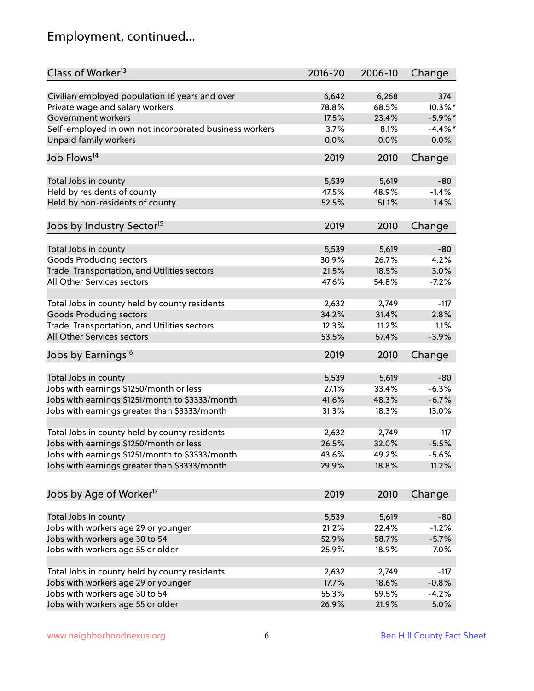# Employment, continued...

| Class of Worker <sup>13</sup>                          | $2016 - 20$ | 2006-10 | Change     |
|--------------------------------------------------------|-------------|---------|------------|
| Civilian employed population 16 years and over         | 6,642       | 6,268   | 374        |
| Private wage and salary workers                        | 78.8%       | 68.5%   | 10.3%*     |
| Government workers                                     | 17.5%       | 23.4%   | $-5.9\%$ * |
| Self-employed in own not incorporated business workers | 3.7%        | 8.1%    | $-4.4\%$ * |
| <b>Unpaid family workers</b>                           | 0.0%        | 0.0%    | 0.0%       |
|                                                        |             |         |            |
| Job Flows <sup>14</sup>                                | 2019        | 2010    | Change     |
| Total Jobs in county                                   | 5,539       | 5,619   | $-80$      |
| Held by residents of county                            | 47.5%       | 48.9%   | $-1.4%$    |
| Held by non-residents of county                        | 52.5%       | 51.1%   | 1.4%       |
|                                                        |             |         |            |
| Jobs by Industry Sector <sup>15</sup>                  | 2019        | 2010    | Change     |
| Total Jobs in county                                   | 5,539       | 5,619   | $-80$      |
| Goods Producing sectors                                | 30.9%       | 26.7%   | 4.2%       |
| Trade, Transportation, and Utilities sectors           | 21.5%       | 18.5%   | 3.0%       |
| All Other Services sectors                             | 47.6%       | 54.8%   | $-7.2%$    |
|                                                        |             |         |            |
| Total Jobs in county held by county residents          | 2,632       | 2,749   | $-117$     |
| <b>Goods Producing sectors</b>                         | 34.2%       | 31.4%   | 2.8%       |
| Trade, Transportation, and Utilities sectors           | 12.3%       | 11.2%   | 1.1%       |
| All Other Services sectors                             | 53.5%       | 57.4%   | $-3.9%$    |
| Jobs by Earnings <sup>16</sup>                         | 2019        | 2010    | Change     |
|                                                        |             |         |            |
| Total Jobs in county                                   | 5,539       | 5,619   | $-80$      |
| Jobs with earnings \$1250/month or less                | 27.1%       | 33.4%   | $-6.3%$    |
| Jobs with earnings \$1251/month to \$3333/month        | 41.6%       | 48.3%   | $-6.7%$    |
| Jobs with earnings greater than \$3333/month           | 31.3%       | 18.3%   | 13.0%      |
| Total Jobs in county held by county residents          | 2,632       | 2,749   | $-117$     |
| Jobs with earnings \$1250/month or less                | 26.5%       | 32.0%   | $-5.5%$    |
| Jobs with earnings \$1251/month to \$3333/month        | 43.6%       | 49.2%   | $-5.6%$    |
| Jobs with earnings greater than \$3333/month           | 29.9%       | 18.8%   | 11.2%      |
|                                                        |             |         |            |
| Jobs by Age of Worker <sup>17</sup>                    | 2019        | 2010    | Change     |
| Total Jobs in county                                   | 5,539       | 5,619   | $-80$      |
| Jobs with workers age 29 or younger                    | 21.2%       | 22.4%   | $-1.2%$    |
| Jobs with workers age 30 to 54                         | 52.9%       | 58.7%   | $-5.7%$    |
| Jobs with workers age 55 or older                      | 25.9%       | 18.9%   | 7.0%       |
|                                                        |             |         |            |
| Total Jobs in county held by county residents          | 2,632       | 2,749   | $-117$     |
| Jobs with workers age 29 or younger                    | 17.7%       | 18.6%   | $-0.8%$    |
| Jobs with workers age 30 to 54                         | 55.3%       | 59.5%   | $-4.2%$    |
| Jobs with workers age 55 or older                      | 26.9%       | 21.9%   | 5.0%       |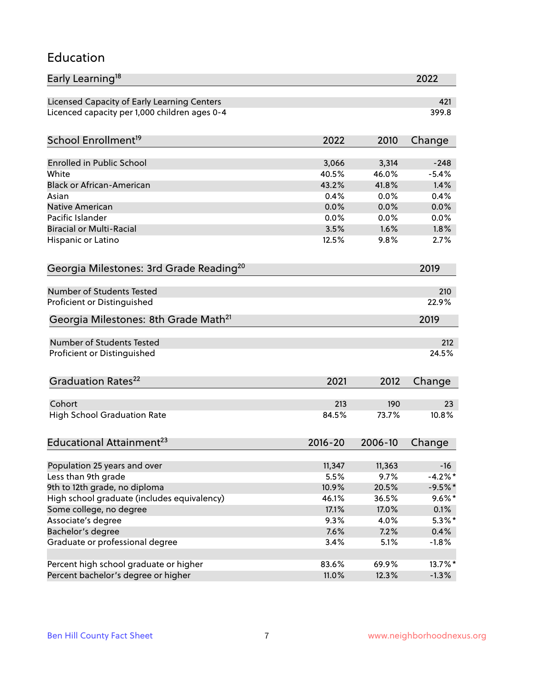#### Education

| Early Learning <sup>18</sup>                        |                |                | 2022               |
|-----------------------------------------------------|----------------|----------------|--------------------|
| Licensed Capacity of Early Learning Centers         |                |                | 421                |
| Licenced capacity per 1,000 children ages 0-4       |                |                | 399.8              |
| School Enrollment <sup>19</sup>                     | 2022           | 2010           | Change             |
|                                                     |                |                |                    |
| <b>Enrolled in Public School</b>                    | 3,066          | 3,314          | $-248$             |
| White                                               | 40.5%          | 46.0%          | $-5.4%$            |
| <b>Black or African-American</b>                    | 43.2%          | 41.8%          | 1.4%               |
| Asian                                               | 0.4%           | 0.0%           | 0.4%               |
| Native American                                     | 0.0%           | 0.0%           | 0.0%               |
| Pacific Islander                                    | 0.0%           | 0.0%           | 0.0%               |
| <b>Biracial or Multi-Racial</b>                     | 3.5%           | 1.6%           | 1.8%               |
| Hispanic or Latino                                  | 12.5%          | 9.8%           | 2.7%               |
| Georgia Milestones: 3rd Grade Reading <sup>20</sup> |                |                | 2019               |
|                                                     |                |                |                    |
| Number of Students Tested                           |                |                | 210                |
| Proficient or Distinguished                         |                |                | 22.9%              |
| Georgia Milestones: 8th Grade Math <sup>21</sup>    |                |                | 2019               |
| <b>Number of Students Tested</b>                    |                |                | 212                |
| Proficient or Distinguished                         |                |                | 24.5%              |
| Graduation Rates <sup>22</sup>                      | 2021           | 2012           | Change             |
|                                                     |                |                |                    |
| Cohort                                              | 213            | 190            | 23                 |
| <b>High School Graduation Rate</b>                  | 84.5%          | 73.7%          | 10.8%              |
| Educational Attainment <sup>23</sup>                | $2016 - 20$    | 2006-10        | Change             |
|                                                     |                |                |                    |
| Population 25 years and over                        | 11,347<br>5.5% | 11,363<br>9.7% | $-16$<br>$-4.2%$ * |
| Less than 9th grade                                 |                |                | $-9.5%$ *          |
| 9th to 12th grade, no diploma                       | 10.9%          | 20.5%          |                    |
| High school graduate (includes equivalency)         | 46.1%          | 36.5%          | $9.6\% *$          |
| Some college, no degree                             | 17.1%          | 17.0%          | 0.1%               |
| Associate's degree                                  | 9.3%           | 4.0%           | $5.3\%$ *          |
| Bachelor's degree                                   | 7.6%           | 7.2%           | $0.4\%$            |
| Graduate or professional degree                     | 3.4%           | 5.1%           | $-1.8%$            |
| Percent high school graduate or higher              | 83.6%          | 69.9%          | 13.7%*             |
| Percent bachelor's degree or higher                 | 11.0%          | 12.3%          | $-1.3%$            |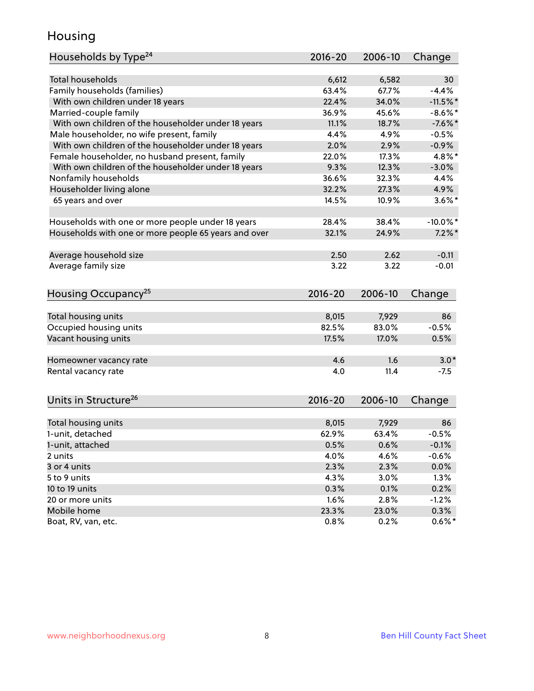### Housing

| Households by Type <sup>24</sup>                     | 2016-20     | 2006-10 | Change      |
|------------------------------------------------------|-------------|---------|-------------|
|                                                      |             |         |             |
| Total households                                     | 6,612       | 6,582   | 30          |
| Family households (families)                         | 63.4%       | 67.7%   | $-4.4%$     |
| With own children under 18 years                     | 22.4%       | 34.0%   | $-11.5%$    |
| Married-couple family                                | 36.9%       | 45.6%   | $-8.6\%$ *  |
| With own children of the householder under 18 years  | 11.1%       | 18.7%   | $-7.6%$     |
| Male householder, no wife present, family            | 4.4%        | 4.9%    | $-0.5%$     |
| With own children of the householder under 18 years  | 2.0%        | 2.9%    | $-0.9%$     |
| Female householder, no husband present, family       | 22.0%       | 17.3%   | 4.8%*       |
| With own children of the householder under 18 years  | 9.3%        | 12.3%   | $-3.0%$     |
| Nonfamily households                                 | 36.6%       | 32.3%   | 4.4%        |
| Householder living alone                             | 32.2%       | 27.3%   | 4.9%        |
| 65 years and over                                    | 14.5%       | 10.9%   | $3.6\%$ *   |
| Households with one or more people under 18 years    | 28.4%       | 38.4%   | $-10.0\%$ * |
| Households with one or more people 65 years and over | 32.1%       | 24.9%   | $7.2\%$ *   |
|                                                      |             |         |             |
| Average household size                               | 2.50        | 2.62    | $-0.11$     |
| Average family size                                  | 3.22        | 3.22    | $-0.01$     |
| Housing Occupancy <sup>25</sup>                      | $2016 - 20$ | 2006-10 | Change      |
|                                                      |             |         |             |
| Total housing units                                  | 8,015       | 7,929   | 86          |
| Occupied housing units                               | 82.5%       | 83.0%   | $-0.5%$     |
| Vacant housing units                                 | 17.5%       | 17.0%   | 0.5%        |
| Homeowner vacancy rate                               | 4.6         | 1.6     | $3.0*$      |
| Rental vacancy rate                                  | 4.0         | 11.4    | $-7.5$      |
| Units in Structure <sup>26</sup>                     | $2016 - 20$ | 2006-10 | Change      |
| Total housing units                                  | 8,015       | 7,929   | 86          |
| 1-unit, detached                                     | 62.9%       | 63.4%   | $-0.5%$     |
|                                                      |             | 0.6%    |             |
| 1-unit, attached                                     | 0.5%        |         | $-0.1%$     |
| 2 units                                              | 4.0%        | 4.6%    | $-0.6%$     |
| 3 or 4 units                                         | 2.3%        | 2.3%    | 0.0%        |
| 5 to 9 units                                         | 4.3%        | 3.0%    | 1.3%        |
| 10 to 19 units                                       | 0.3%        | 0.1%    | 0.2%        |
| 20 or more units                                     | 1.6%        | 2.8%    | $-1.2%$     |
| Mobile home                                          | 23.3%       | 23.0%   | 0.3%        |
| Boat, RV, van, etc.                                  | 0.8%        | 0.2%    | $0.6\%*$    |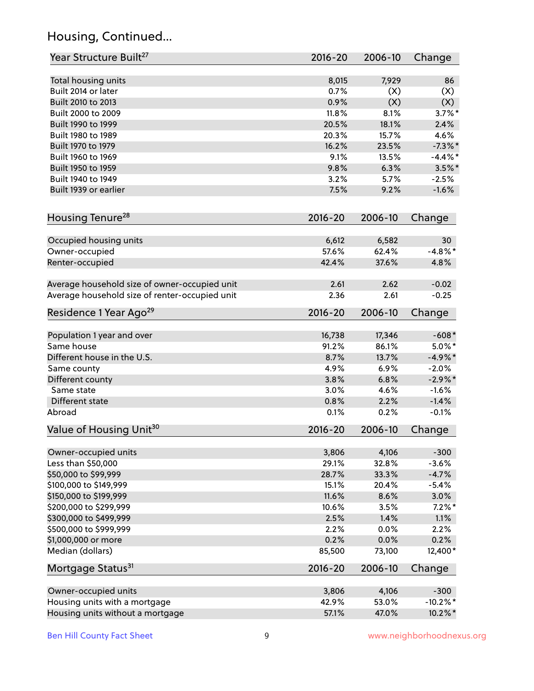# Housing, Continued...

| Year Structure Built <sup>27</sup>             | 2016-20     | 2006-10 | Change      |
|------------------------------------------------|-------------|---------|-------------|
| Total housing units                            | 8,015       | 7,929   | 86          |
| Built 2014 or later                            | 0.7%        | (X)     | (X)         |
| Built 2010 to 2013                             | 0.9%        | (X)     | (X)         |
| Built 2000 to 2009                             | 11.8%       | 8.1%    | $3.7\%$ *   |
| Built 1990 to 1999                             | 20.5%       | 18.1%   | 2.4%        |
| Built 1980 to 1989                             | 20.3%       | 15.7%   | 4.6%        |
| Built 1970 to 1979                             | 16.2%       | 23.5%   | $-7.3\%$ *  |
| Built 1960 to 1969                             | 9.1%        | 13.5%   | $-4.4\%$ *  |
| Built 1950 to 1959                             | 9.8%        | 6.3%    | $3.5\%$ *   |
| Built 1940 to 1949                             | 3.2%        | 5.7%    | $-2.5%$     |
| Built 1939 or earlier                          | 7.5%        | 9.2%    | $-1.6%$     |
| Housing Tenure <sup>28</sup>                   | $2016 - 20$ | 2006-10 | Change      |
| Occupied housing units                         | 6,612       | 6,582   | 30          |
| Owner-occupied                                 | 57.6%       | 62.4%   | $-4.8\%$ *  |
| Renter-occupied                                | 42.4%       | 37.6%   | 4.8%        |
| Average household size of owner-occupied unit  | 2.61        | 2.62    | $-0.02$     |
| Average household size of renter-occupied unit | 2.36        | 2.61    | $-0.25$     |
| Residence 1 Year Ago <sup>29</sup>             | 2016-20     | 2006-10 | Change      |
| Population 1 year and over                     | 16,738      | 17,346  | $-608*$     |
| Same house                                     | 91.2%       | 86.1%   | $5.0\%$ *   |
| Different house in the U.S.                    | 8.7%        | 13.7%   | $-4.9\%*$   |
| Same county                                    | 4.9%        | 6.9%    | $-2.0%$     |
| Different county                               | 3.8%        | 6.8%    | $-2.9\%*$   |
| Same state                                     | 3.0%        | 4.6%    | $-1.6%$     |
| Different state                                | 0.8%        | 2.2%    | $-1.4%$     |
| Abroad                                         | 0.1%        | 0.2%    | $-0.1%$     |
| Value of Housing Unit <sup>30</sup>            | $2016 - 20$ | 2006-10 | Change      |
| Owner-occupied units                           | 3,806       | 4,106   | $-300$      |
| Less than \$50,000                             | 29.1%       | 32.8%   | $-3.6%$     |
| \$50,000 to \$99,999                           | 28.7%       | 33.3%   | $-4.7%$     |
| \$100,000 to \$149,999                         | 15.1%       | 20.4%   | $-5.4%$     |
| \$150,000 to \$199,999                         | 11.6%       | 8.6%    | 3.0%        |
| \$200,000 to \$299,999                         | 10.6%       | 3.5%    | $7.2\%$ *   |
| \$300,000 to \$499,999                         | 2.5%        | 1.4%    | 1.1%        |
| \$500,000 to \$999,999                         | 2.2%        | 0.0%    | 2.2%        |
| \$1,000,000 or more                            | 0.2%        | 0.0%    | 0.2%        |
| Median (dollars)                               | 85,500      | 73,100  | 12,400*     |
| Mortgage Status <sup>31</sup>                  | $2016 - 20$ | 2006-10 | Change      |
| Owner-occupied units                           | 3,806       | 4,106   | $-300$      |
| Housing units with a mortgage                  | 42.9%       | 53.0%   | $-10.2\%$ * |
| Housing units without a mortgage               | 57.1%       | 47.0%   | 10.2%*      |
|                                                |             |         |             |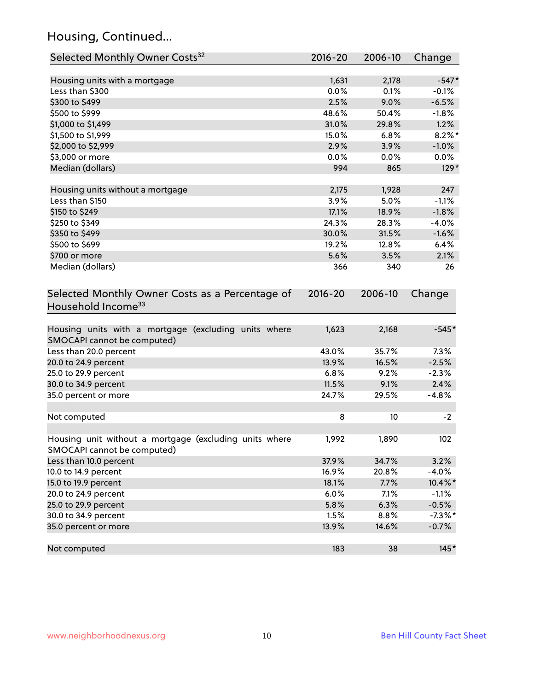# Housing, Continued...

| Selected Monthly Owner Costs <sup>32</sup>                                            | 2016-20     | 2006-10 | Change     |
|---------------------------------------------------------------------------------------|-------------|---------|------------|
| Housing units with a mortgage                                                         | 1,631       | 2,178   | $-547*$    |
| Less than \$300                                                                       | 0.0%        | 0.1%    | $-0.1%$    |
| \$300 to \$499                                                                        | 2.5%        | 9.0%    | $-6.5%$    |
| \$500 to \$999                                                                        | 48.6%       | 50.4%   | $-1.8%$    |
| \$1,000 to \$1,499                                                                    | 31.0%       | 29.8%   | 1.2%       |
| \$1,500 to \$1,999                                                                    | 15.0%       | 6.8%    | $8.2\%$ *  |
| \$2,000 to \$2,999                                                                    | 2.9%        | 3.9%    | $-1.0%$    |
| \$3,000 or more                                                                       | 0.0%        | 0.0%    | 0.0%       |
| Median (dollars)                                                                      | 994         | 865     | $129*$     |
| Housing units without a mortgage                                                      | 2,175       | 1,928   | 247        |
| Less than \$150                                                                       | 3.9%        | 5.0%    | $-1.1%$    |
| \$150 to \$249                                                                        | 17.1%       | 18.9%   | $-1.8%$    |
| \$250 to \$349                                                                        | 24.3%       | 28.3%   | $-4.0%$    |
| \$350 to \$499                                                                        | 30.0%       | 31.5%   | $-1.6%$    |
| \$500 to \$699                                                                        | 19.2%       | 12.8%   | 6.4%       |
| \$700 or more                                                                         | 5.6%        | 3.5%    | 2.1%       |
| Median (dollars)                                                                      | 366         | 340     | 26         |
| Selected Monthly Owner Costs as a Percentage of<br>Household Income <sup>33</sup>     | $2016 - 20$ | 2006-10 | Change     |
| Housing units with a mortgage (excluding units where<br>SMOCAPI cannot be computed)   | 1,623       | 2,168   | $-545*$    |
| Less than 20.0 percent                                                                | 43.0%       | 35.7%   | 7.3%       |
| 20.0 to 24.9 percent                                                                  | 13.9%       | 16.5%   | $-2.5%$    |
| 25.0 to 29.9 percent                                                                  | 6.8%        | 9.2%    | $-2.3%$    |
| 30.0 to 34.9 percent                                                                  | 11.5%       | 9.1%    | 2.4%       |
| 35.0 percent or more                                                                  | 24.7%       | 29.5%   | $-4.8%$    |
| Not computed                                                                          | 8           | 10      | $-2$       |
| Housing unit without a mortgage (excluding units where<br>SMOCAPI cannot be computed) | 1,992       | 1,890   | 102        |
| Less than 10.0 percent                                                                | 37.9%       | 34.7%   | 3.2%       |
| 10.0 to 14.9 percent                                                                  | 16.9%       | 20.8%   | $-4.0%$    |
| 15.0 to 19.9 percent                                                                  | 18.1%       | 7.7%    | 10.4%*     |
| 20.0 to 24.9 percent                                                                  | 6.0%        | 7.1%    | $-1.1%$    |
| 25.0 to 29.9 percent                                                                  | 5.8%        | 6.3%    | $-0.5%$    |
| 30.0 to 34.9 percent                                                                  | 1.5%        | 8.8%    | $-7.3\%$ * |
| 35.0 percent or more                                                                  | 13.9%       | 14.6%   | $-0.7%$    |
| Not computed                                                                          | 183         | 38      | $145*$     |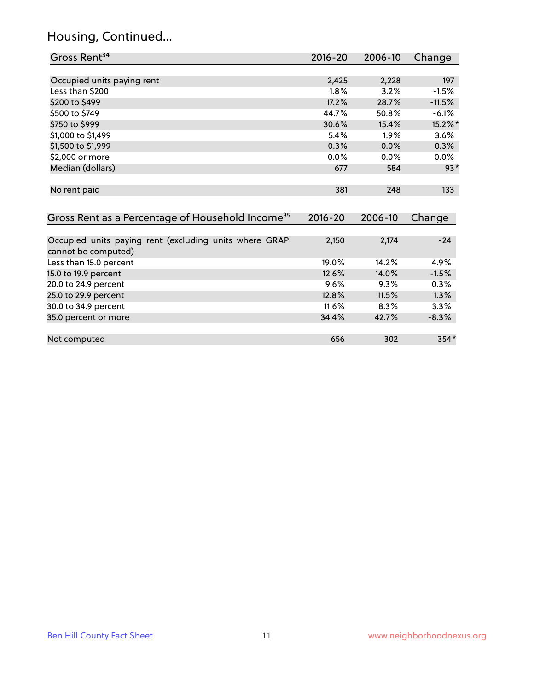# Housing, Continued...

| Gross Rent <sup>34</sup>                                                       | 2016-20 | 2006-10 | Change   |
|--------------------------------------------------------------------------------|---------|---------|----------|
|                                                                                |         |         |          |
| Occupied units paying rent                                                     | 2,425   | 2,228   | 197      |
| Less than \$200                                                                | 1.8%    | 3.2%    | $-1.5%$  |
| \$200 to \$499                                                                 | 17.2%   | 28.7%   | $-11.5%$ |
| \$500 to \$749                                                                 | 44.7%   | 50.8%   | $-6.1%$  |
| \$750 to \$999                                                                 | 30.6%   | 15.4%   | 15.2%*   |
| \$1,000 to \$1,499                                                             | 5.4%    | 1.9%    | 3.6%     |
| \$1,500 to \$1,999                                                             | 0.3%    | 0.0%    | 0.3%     |
| \$2,000 or more                                                                | 0.0%    | 0.0%    | $0.0\%$  |
| Median (dollars)                                                               | 677     | 584     | $93*$    |
| No rent paid                                                                   | 381     | 248     | 133      |
| Gross Rent as a Percentage of Household Income <sup>35</sup>                   | 2016-20 | 2006-10 | Change   |
|                                                                                |         |         |          |
| Occupied units paying rent (excluding units where GRAPI<br>cannot be computed) | 2,150   | 2,174   | $-24$    |
| Less than 15.0 percent                                                         | 19.0%   | 14.2%   | 4.9%     |
| 15.0 to 19.9 percent                                                           | 12.6%   | 14.0%   | $-1.5%$  |
| 20.0 to 24.9 percent                                                           | 9.6%    | 9.3%    | 0.3%     |
| 25.0 to 29.9 percent                                                           | 12.8%   | 11.5%   | 1.3%     |
| 30.0 to 34.9 percent                                                           | 11.6%   | 8.3%    | 3.3%     |
| 35.0 percent or more                                                           | 34.4%   | 42.7%   | $-8.3%$  |
|                                                                                |         |         |          |
| Not computed                                                                   | 656     | 302     | 354*     |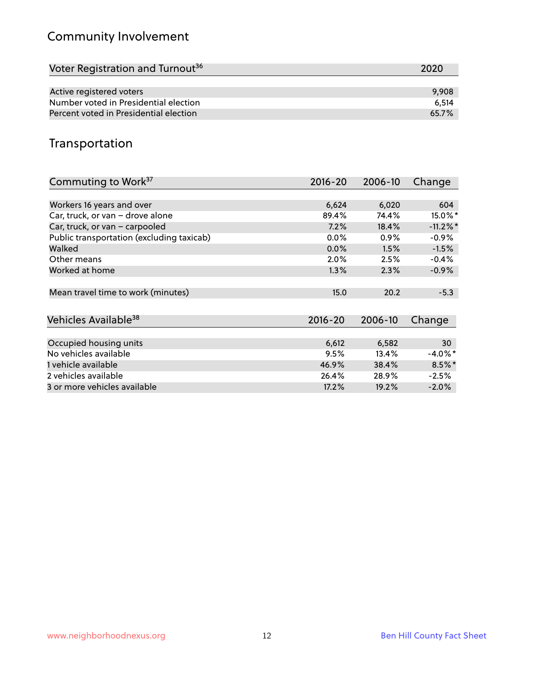# Community Involvement

| Voter Registration and Turnout <sup>36</sup> | 2020  |
|----------------------------------------------|-------|
|                                              |       |
| Active registered voters                     | 9,908 |
| Number voted in Presidential election        | 6.514 |
| Percent voted in Presidential election       | 65.7% |

## Transportation

| Commuting to Work <sup>37</sup>           | 2016-20     | 2006-10 | Change      |
|-------------------------------------------|-------------|---------|-------------|
|                                           |             |         |             |
| Workers 16 years and over                 | 6,624       | 6,020   | 604         |
| Car, truck, or van - drove alone          | 89.4%       | 74.4%   | $15.0\%$ *  |
| Car, truck, or van - carpooled            | 7.2%        | 18.4%   | $-11.2\%$ * |
| Public transportation (excluding taxicab) | $0.0\%$     | $0.9\%$ | $-0.9%$     |
| Walked                                    | 0.0%        | 1.5%    | $-1.5%$     |
| Other means                               | $2.0\%$     | 2.5%    | $-0.4%$     |
| Worked at home                            | 1.3%        | 2.3%    | $-0.9%$     |
|                                           |             |         |             |
| Mean travel time to work (minutes)        | 15.0        | 20.2    | $-5.3$      |
|                                           |             |         |             |
| Vehicles Available <sup>38</sup>          | $2016 - 20$ | 2006-10 | Change      |
|                                           |             |         |             |
| Occupied housing units                    | 6,612       | 6,582   | 30          |
| No vehicles available                     | 9.5%        | 13.4%   | $-4.0\%$ *  |
| 1 vehicle available                       | 46.9%       | 38.4%   | $8.5\%$ *   |
| 2 vehicles available                      | 26.4%       | 28.9%   | $-2.5%$     |
| 3 or more vehicles available              | 17.2%       | 19.2%   | $-2.0\%$    |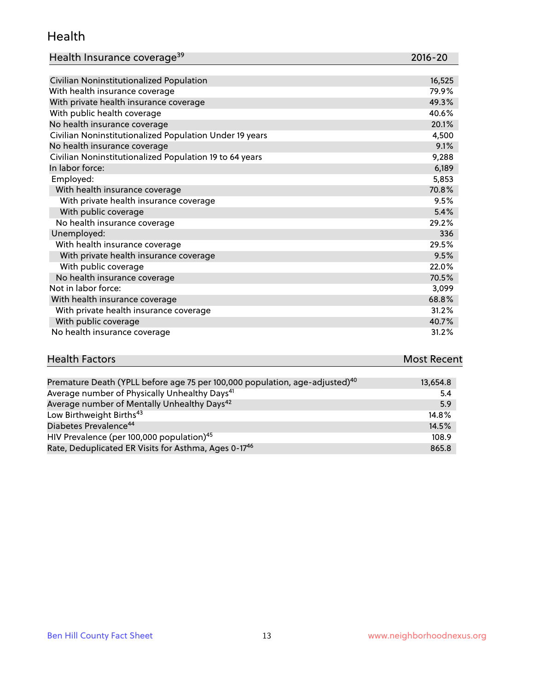#### Health

| Health Insurance coverage <sup>39</sup> | 2016-20 |
|-----------------------------------------|---------|
|-----------------------------------------|---------|

| Civilian Noninstitutionalized Population                | 16,525 |
|---------------------------------------------------------|--------|
| With health insurance coverage                          | 79.9%  |
| With private health insurance coverage                  | 49.3%  |
| With public health coverage                             | 40.6%  |
| No health insurance coverage                            | 20.1%  |
| Civilian Noninstitutionalized Population Under 19 years | 4,500  |
| No health insurance coverage                            | 9.1%   |
| Civilian Noninstitutionalized Population 19 to 64 years | 9,288  |
| In labor force:                                         | 6,189  |
| Employed:                                               | 5,853  |
| With health insurance coverage                          | 70.8%  |
| With private health insurance coverage                  | 9.5%   |
| With public coverage                                    | 5.4%   |
| No health insurance coverage                            | 29.2%  |
| Unemployed:                                             | 336    |
| With health insurance coverage                          | 29.5%  |
| With private health insurance coverage                  | 9.5%   |
| With public coverage                                    | 22.0%  |
| No health insurance coverage                            | 70.5%  |
| Not in labor force:                                     | 3,099  |
| With health insurance coverage                          | 68.8%  |
| With private health insurance coverage                  | 31.2%  |
| With public coverage                                    | 40.7%  |
| No health insurance coverage                            | 31.2%  |

| <b>Health Factors</b> | <b>Most Recent</b> |
|-----------------------|--------------------|
|                       |                    |

| Premature Death (YPLL before age 75 per 100,000 population, age-adjusted) <sup>40</sup> | 13,654.8 |
|-----------------------------------------------------------------------------------------|----------|
| Average number of Physically Unhealthy Days <sup>41</sup>                               | 5.4      |
| Average number of Mentally Unhealthy Days <sup>42</sup>                                 | 5.9      |
| Low Birthweight Births <sup>43</sup>                                                    | 14.8%    |
| Diabetes Prevalence <sup>44</sup>                                                       | 14.5%    |
| HIV Prevalence (per 100,000 population) <sup>45</sup>                                   | 108.9    |
| Rate, Deduplicated ER Visits for Asthma, Ages 0-17 <sup>46</sup>                        | 865.8    |